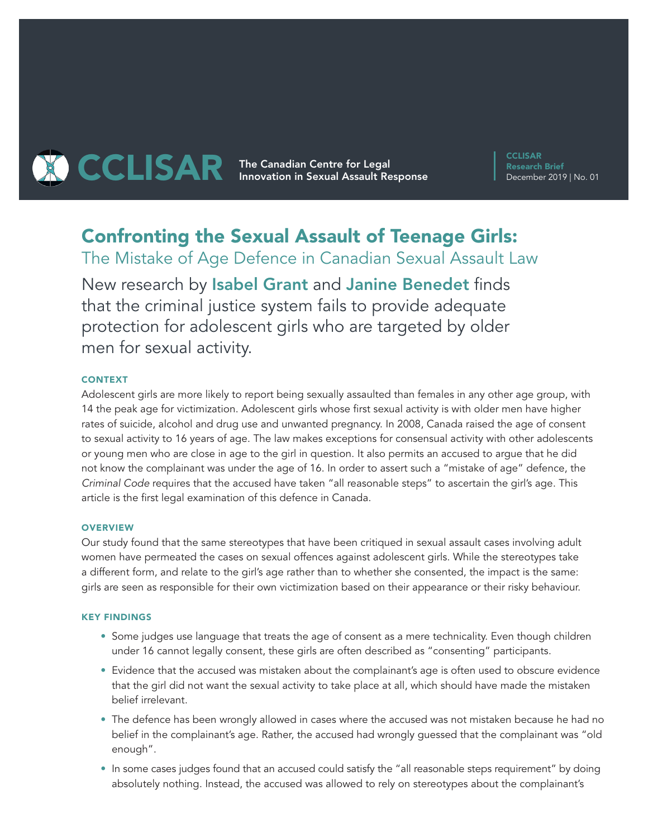

**CCLISAR** Research Brief December 2019 | No. 01

# Confronting the Sexual Assault of Teenage Girls:

The Mistake of Age Defence in Canadian Sexual Assault Law New research by Isabel Grant and Janine Benedet finds that the criminal justice system fails to provide adequate protection for adolescent girls who are targeted by older men for sexual activity.

# CONTEXT

Adolescent girls are more likely to report being sexually assaulted than females in any other age group, with 14 the peak age for victimization. Adolescent girls whose first sexual activity is with older men have higher rates of suicide, alcohol and drug use and unwanted pregnancy. In 2008, Canada raised the age of consent to sexual activity to 16 years of age. The law makes exceptions for consensual activity with other adolescents or young men who are close in age to the girl in question. It also permits an accused to argue that he did not know the complainant was under the age of 16. In order to assert such a "mistake of age" defence, the *Criminal Code* requires that the accused have taken "all reasonable steps" to ascertain the girl's age. This article is the first legal examination of this defence in Canada.

#### **OVERVIEW**

Our study found that the same stereotypes that have been critiqued in sexual assault cases involving adult women have permeated the cases on sexual offences against adolescent girls. While the stereotypes take a different form, and relate to the girl's age rather than to whether she consented, the impact is the same: girls are seen as responsible for their own victimization based on their appearance or their risky behaviour.

## KEY FINDINGS

- Some judges use language that treats the age of consent as a mere technicality. Even though children under 16 cannot legally consent, these girls are often described as "consenting" participants.
- Evidence that the accused was mistaken about the complainant's age is often used to obscure evidence that the girl did not want the sexual activity to take place at all, which should have made the mistaken belief irrelevant.
- The defence has been wrongly allowed in cases where the accused was not mistaken because he had no belief in the complainant's age. Rather, the accused had wrongly guessed that the complainant was "old enough".
- In some cases judges found that an accused could satisfy the "all reasonable steps requirement" by doing absolutely nothing. Instead, the accused was allowed to rely on stereotypes about the complainant's